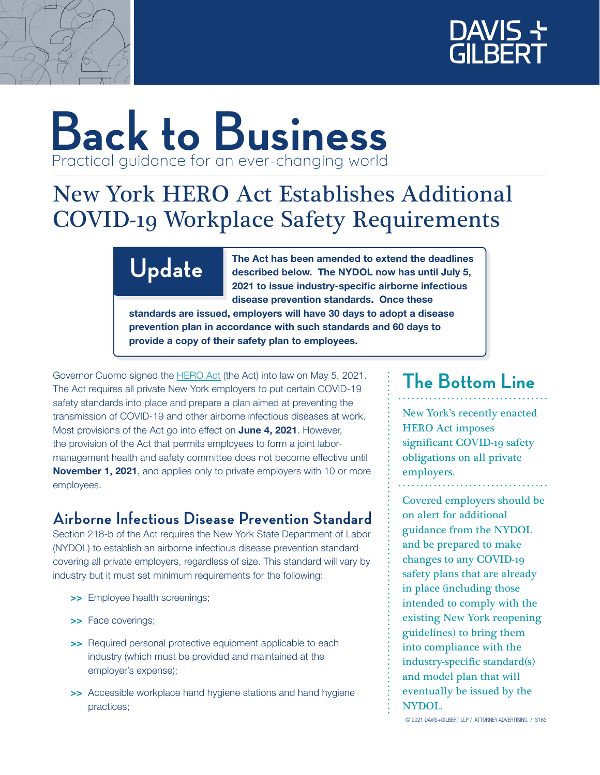



# **Back to Business** Practical guidance for an ever-changing world

## New York HERO Act Establishes Additional COVID-19 Workplace Safety Requirements

Update The Act has been amended to extend the deadlines described below. The NYDOL now has until July 5, 2021 to issue industry-specific airborne infectious disease prevention standards. Once these

standards are issued, employers will have 30 days to adopt a disease prevention plan in accordance with such standards and 60 days to provide a copy of their safety plan to employees.

Governor Cuomo signed the [HERO Act](https://www.nysenate.gov/legislation/bills/2021/s1034) (the Act) into law on May 5, 2021. The Act requires all private New York employers to put certain COVID-19 safety standards into place and prepare a plan aimed at preventing the transmission of COVID-19 and other airborne infectious diseases at work. Most provisions of the Act go into effect on June 4, 2021. However, the provision of the Act that permits employees to form a joint labormanagement health and safety committee does not become effective until November 1, 2021, and applies only to private employers with 10 or more employees.

### **Airborne Infectious Disease Prevention Standard**

Section 218-b of the Act requires the New York State Department of Labor (NYDOL) to establish an airborne infectious disease prevention standard covering all private employers, regardless of size. This standard will vary by industry but it must set minimum requirements for the following:

- >> Employee health screenings;
- >> Face coverings;
- >> Required personal protective equipment applicable to each industry (which must be provided and maintained at the employer's expense);
- >> Accessible workplace hand hygiene stations and hand hygiene practices;

### **The Bottom Line**

New York's recently enacted HERO Act imposes significant COVID-19 safety obligations on all private employers.

Covered employers should be on alert for additional guidance from the NYDOL and be prepared to make changes to any COVID-19 safety plans that are already in place (including those intended to comply with the existing New York reopening guidelines) to bring them into compliance with the industry-specific standard(s) and model plan that will eventually be issued by the NYDOL.

© 2021 DAVIS+GILBERT LLP / ATTORNEY ADVERTISING / 3163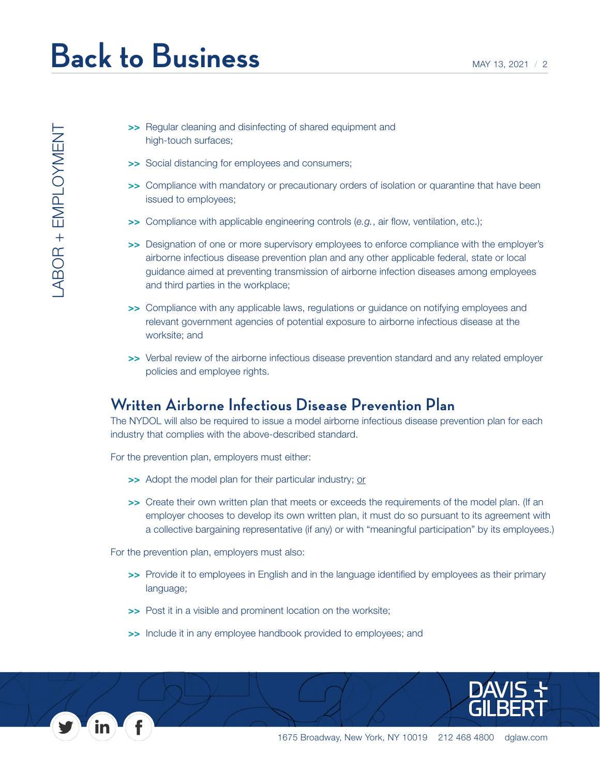LABOR + EMPLOYMENT

 $\begin{array}{ll}\text{LABOR} + \text{EMPLOYMENT}\end{array}$ 

- >> Regular cleaning and disinfecting of shared equipment and high-touch surfaces;
- >> Social distancing for employees and consumers;
- >> Compliance with mandatory or precautionary orders of isolation or quarantine that have been issued to employees;
- >> Compliance with applicable engineering controls (*e.g.*, air flow, ventilation, etc.);
- >> Designation of one or more supervisory employees to enforce compliance with the employer's airborne infectious disease prevention plan and any other applicable federal, state or local guidance aimed at preventing transmission of airborne infection diseases among employees and third parties in the workplace;
- >> Compliance with any applicable laws, regulations or guidance on notifying employees and relevant government agencies of potential exposure to airborne infectious disease at the worksite; and
- >> Verbal review of the airborne infectious disease prevention standard and any related employer policies and employee rights.

#### **Written Airborne Infectious Disease Prevention Plan**

The NYDOL will also be required to issue a model airborne infectious disease prevention plan for each industry that complies with the above-described standard.

For the prevention plan, employers must either:

- >> Adopt the model plan for their particular industry; or
- >> Create their own written plan that meets or exceeds the requirements of the model plan. (If an employer chooses to develop its own written plan, it must do so pursuant to its agreement with a collective bargaining representative (if any) or with "meaningful participation" by its employees.)

For the prevention plan, employers must also:

- >> Provide it to employees in English and in the language identified by employees as their primary language;
- >> Post it in a visible and prominent location on the worksite;
- >> Include it in any employee handbook provided to employees; and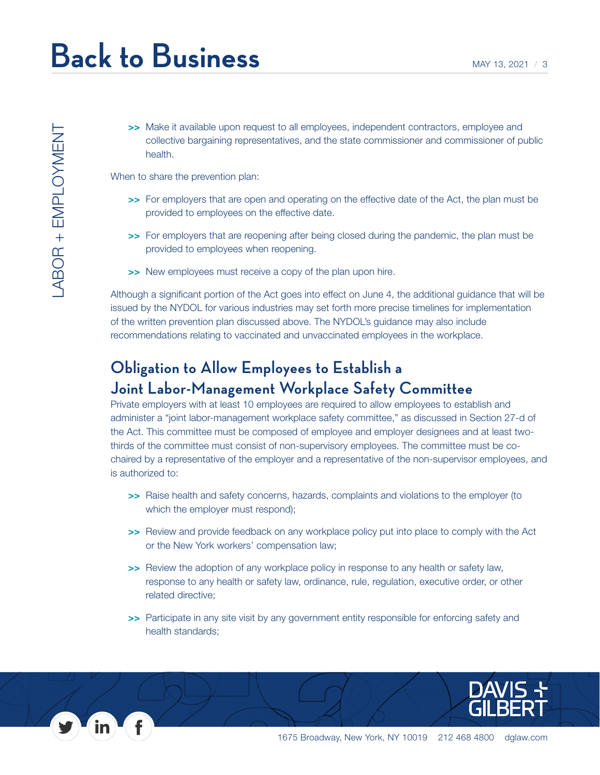>> Make it available upon request to all employees, independent contractors, employee and collective bargaining representatives, and the state commissioner and commissioner of public health.

When to share the prevention plan:

- >> For employers that are open and operating on the effective date of the Act, the plan must be provided to employees on the effective date.
- >> For employers that are reopening after being closed during the pandemic, the plan must be provided to employees when reopening.
- >> New employees must receive a copy of the plan upon hire.

Although a significant portion of the Act goes into effect on June 4, the additional guidance that will be issued by the NYDOL for various industries may set forth more precise timelines for implementation of the written prevention plan discussed above. The NYDOL's guidance may also include recommendations relating to vaccinated and unvaccinated employees in the workplace.

### **Obligation to Allow Employees to Establish a Joint Labor-Management Workplace Safety Committee**

Private employers with at least 10 employees are required to allow employees to establish and administer a "joint labor-management workplace safety committee," as discussed in Section 27-d of the Act. This committee must be composed of employee and employer designees and at least twothirds of the committee must consist of non-supervisory employees. The committee must be cochaired by a representative of the employer and a representative of the non-supervisor employees, and is authorized to:

- >> Raise health and safety concerns, hazards, complaints and violations to the employer (to which the employer must respond);
- >> Review and provide feedback on any workplace policy put into place to comply with the Act or the New York workers' compensation law;
- >> Review the adoption of any workplace policy in response to any health or safety law, response to any health or safety law, ordinance, rule, regulation, executive order, or other related directive;
- >> Participate in any site visit by any government entity responsible for enforcing safety and health standards;

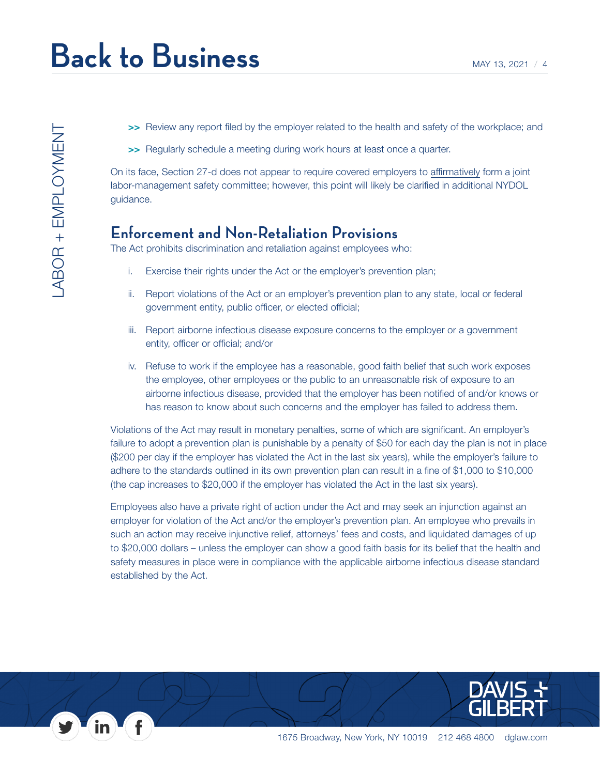- >> Review any report filed by the employer related to the health and safety of the workplace; and
- >> Regularly schedule a meeting during work hours at least once a quarter.

On its face, Section 27-d does not appear to require covered employers to affirmatively form a joint labor-management safety committee; however, this point will likely be clarified in additional NYDOL guidance.

#### **Enforcement and Non-Retaliation Provisions**

The Act prohibits discrimination and retaliation against employees who:

- i. Exercise their rights under the Act or the employer's prevention plan;
- ii. Report violations of the Act or an employer's prevention plan to any state, local or federal government entity, public officer, or elected official;
- iii. Report airborne infectious disease exposure concerns to the employer or a government entity, officer or official; and/or
- iv. Refuse to work if the employee has a reasonable, good faith belief that such work exposes the employee, other employees or the public to an unreasonable risk of exposure to an airborne infectious disease, provided that the employer has been notified of and/or knows or has reason to know about such concerns and the employer has failed to address them.

Violations of the Act may result in monetary penalties, some of which are significant. An employer's failure to adopt a prevention plan is punishable by a penalty of \$50 for each day the plan is not in place (\$200 per day if the employer has violated the Act in the last six years), while the employer's failure to adhere to the standards outlined in its own prevention plan can result in a fine of \$1,000 to \$10,000 (the cap increases to \$20,000 if the employer has violated the Act in the last six years).

Employees also have a private right of action under the Act and may seek an injunction against an employer for violation of the Act and/or the employer's prevention plan. An employee who prevails in such an action may receive injunctive relief, attorneys' fees and costs, and liquidated damages of up to \$20,000 dollars – unless the employer can show a good faith basis for its belief that the health and safety measures in place were in compliance with the applicable airborne infectious disease standard established by the Act.